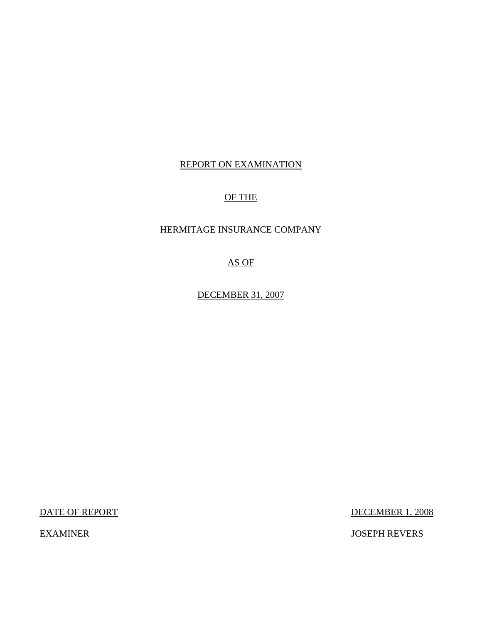## REPORT ON EXAMINATION

## OF THE

## HERMITAGE INSURANCE COMPANY

AS OF

DECEMBER 31, 2007

DATE OF REPORT DECEMBER 1, 2008

EXAMINER JOSEPH REVERS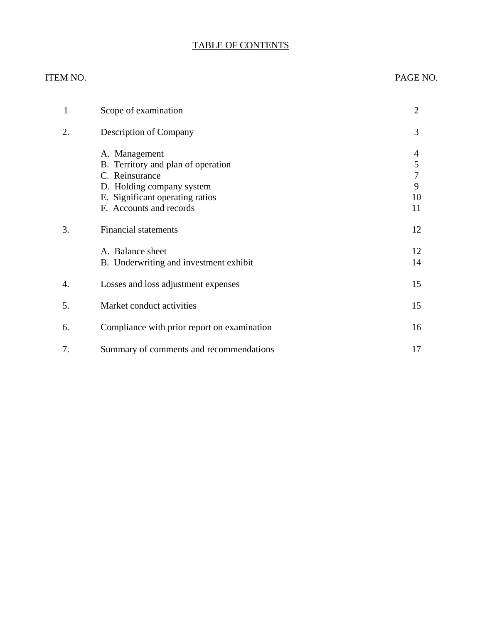## TABLE OF CONTENTS

#### ITEM NO. PAGE NO.

| 1  | Scope of examination                                                                                                                                             | $\overline{2}$               |
|----|------------------------------------------------------------------------------------------------------------------------------------------------------------------|------------------------------|
| 2. | <b>Description of Company</b>                                                                                                                                    | 3                            |
|    | A. Management<br>B. Territory and plan of operation<br>C. Reinsurance<br>D. Holding company system<br>E. Significant operating ratios<br>F. Accounts and records | 4<br>5<br>7<br>9<br>10<br>11 |
| 3. | <b>Financial statements</b>                                                                                                                                      | 12                           |
|    | A. Balance sheet<br>B. Underwriting and investment exhibit                                                                                                       | 12<br>14                     |
| 4. | Losses and loss adjustment expenses                                                                                                                              | 15                           |
| 5. | Market conduct activities                                                                                                                                        | 15                           |
| 6. | Compliance with prior report on examination                                                                                                                      | 16                           |
| 7. | Summary of comments and recommendations                                                                                                                          | 17                           |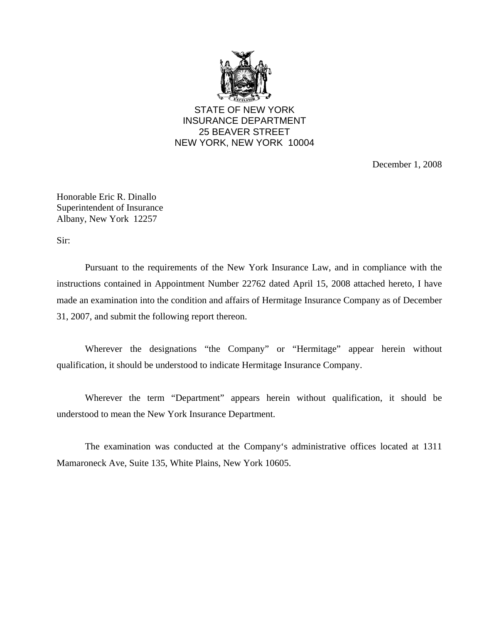

STATE OF NEW YORK INSURANCE DEPARTMENT 25 BEAVER STREET NEW YORK, NEW YORK 10004

December 1, 2008

Honorable Eric R. Dinallo Superintendent of Insurance Albany, New York 12257

Sir:

Pursuant to the requirements of the New York Insurance Law, and in compliance with the instructions contained in Appointment Number 22762 dated April 15, 2008 attached hereto, I have made an examination into the condition and affairs of Hermitage Insurance Company as of December 31, 2007, and submit the following report thereon.

Wherever the designations "the Company" or "Hermitage" appear herein without qualification, it should be understood to indicate Hermitage Insurance Company.

Wherever the term "Department" appears herein without qualification, it should be understood to mean the New York Insurance Department.

The examination was conducted at the Company's administrative offices located at 1311 Mamaroneck Ave, Suite 135, White Plains, New York 10605.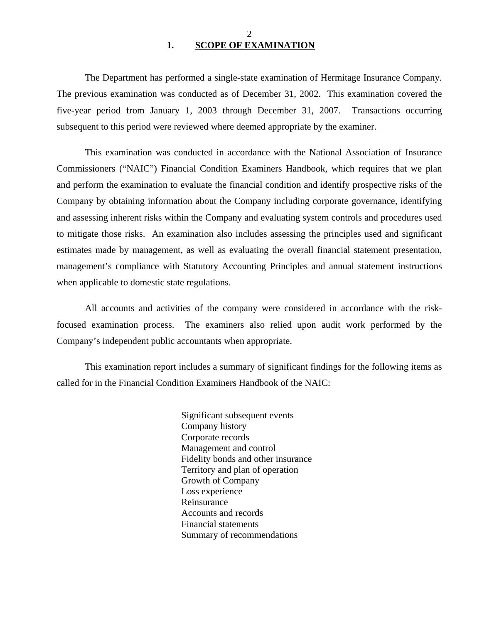#### 2 **1. SCOPE OF EXAMINATION**

<span id="page-3-0"></span>The Department has performed a single-state examination of Hermitage Insurance Company*.*  The previous examination was conducted as of December 31, 2002. This examination covered the five-year period from January 1, 2003 through December 31, 2007. Transactions occurring subsequent to this period were reviewed where deemed appropriate by the examiner.

This examination was conducted in accordance with the National Association of Insurance Commissioners ("NAIC") Financial Condition Examiners Handbook, which requires that we plan and perform the examination to evaluate the financial condition and identify prospective risks of the Company by obtaining information about the Company including corporate governance, identifying and assessing inherent risks within the Company and evaluating system controls and procedures used to mitigate those risks. An examination also includes assessing the principles used and significant estimates made by management, as well as evaluating the overall financial statement presentation, management's compliance with Statutory Accounting Principles and annual statement instructions when applicable to domestic state regulations.

All accounts and activities of the company were considered in accordance with the riskfocused examination process. The examiners also relied upon audit work performed by the Company's independent public accountants when appropriate.

This examination report includes a summary of significant findings for the following items as called for in the Financial Condition Examiners Handbook of the NAIC:

> Significant subsequent events Company history Corporate records Management and control Fidelity bonds and other insurance Territory and plan of operation Growth of Company Loss experience Reinsurance Accounts and records Financial statements Summary of recommendations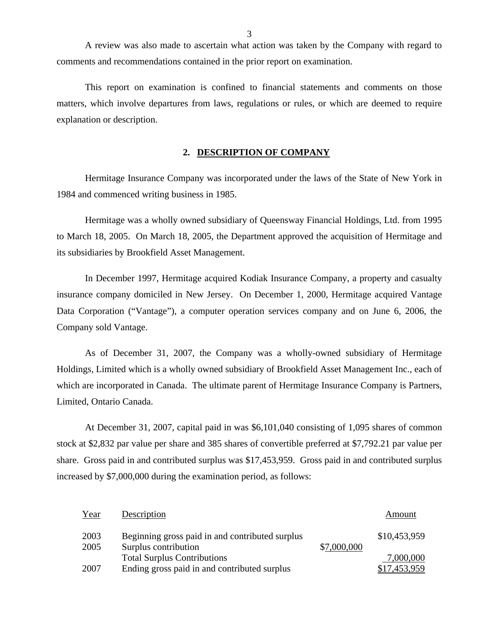A review was also made to ascertain what action was taken by the Company with regard to comments and recommendations contained in the prior report on examination.

This report on examination is confined to financial statements and comments on those matters, which involve departures from laws, regulations or rules, or which are deemed to require explanation or description.

#### **2. DESCRIPTION OF COMPANY**

Hermitage Insurance Company was incorporated under the laws of the State of New York in 1984 and commenced writing business in 1985.

Hermitage was a wholly owned subsidiary of Queensway Financial Holdings, Ltd. from 1995 to March 18, 2005. On March 18, 2005, the Department approved the acquisition of Hermitage and its subsidiaries by Brookfield Asset Management.

In December 1997, Hermitage acquired Kodiak Insurance Company, a property and casualty insurance company domiciled in New Jersey. On December 1, 2000, Hermitage acquired Vantage Data Corporation ("Vantage"), a computer operation services company and on June 6, 2006, the Company sold Vantage.

As of December 31, 2007, the Company was a wholly-owned subsidiary of Hermitage Holdings, Limited which is a wholly owned subsidiary of Brookfield Asset Management Inc., each of which are incorporated in Canada. The ultimate parent of Hermitage Insurance Company is Partners, Limited, Ontario Canada.

At December 31, 2007, capital paid in was \$6,101,040 consisting of 1,095 shares of common stock at \$2,832 par value per share and 385 shares of convertible preferred at [\\$7,792.21](https://7,792.21) par value per share. Gross paid in and contributed surplus was \$17,453,959. Gross paid in and contributed surplus increased by \$7,000,000 during the examination period, as follows:

| Year         | Description                                                             |             | Amount       |
|--------------|-------------------------------------------------------------------------|-------------|--------------|
| 2003<br>2005 | Beginning gross paid in and contributed surplus<br>Surplus contribution | \$7,000,000 | \$10,453,959 |
|              | <b>Total Surplus Contributions</b>                                      |             | 7,000,000    |
| 2007         | Ending gross paid in and contributed surplus                            |             | \$17,453,959 |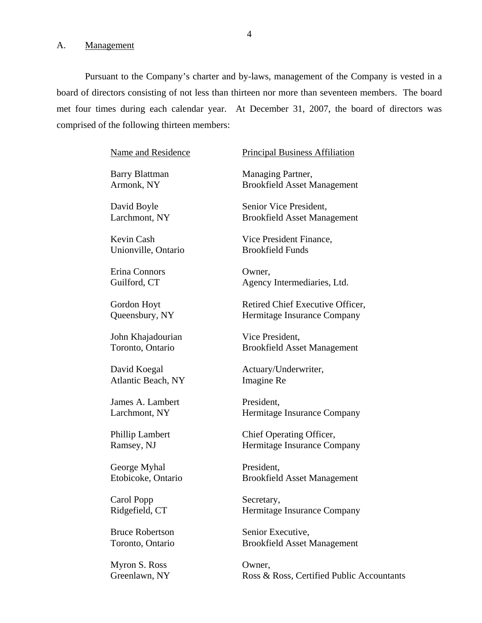#### <span id="page-5-0"></span>A. Management

Pursuant to the Company's charter and by-laws, management of the Company is vested in a board of directors consisting of not less than thirteen nor more than seventeen members. The board met four times during each calendar year. At December 31, 2007, the board of directors was comprised of the following thirteen members:

Name and Residence

Barry Blattman Armonk, NY

David Boyle Larchmont, NY

Kevin Cash Unionville, Ontario

Erina Connors Guilford, CT

Gordon Hoyt Queensbury, NY

John Khajadourian Toronto, Ontario

David Koegal Atlantic Beach, NY

James A. Lambert Larchmont, NY

Phillip Lambert Ramsey, NJ

George Myhal Etobicoke, Ontario

Carol Popp Ridgefield, CT

Bruce Robertson Toronto, Ontario

Myron S. Ross Owner,

Principal Business Affiliation

Managing Partner, Brookfield Asset Management

Senior Vice President, Brookfield Asset Management

Vice President Finance, Brookfield Funds

Owner, Agency Intermediaries, Ltd.

Retired Chief Executive Officer, Hermitage Insurance Company

Vice President, Brookfield Asset Management

Actuary/Underwriter, Imagine Re

President, Hermitage Insurance Company

Chief Operating Officer, Hermitage Insurance Company

President, Brookfield Asset Management

Secretary, Hermitage Insurance Company

Senior Executive, Brookfield Asset Management

Greenlawn, NY Ross & Ross, Certified Public Accountants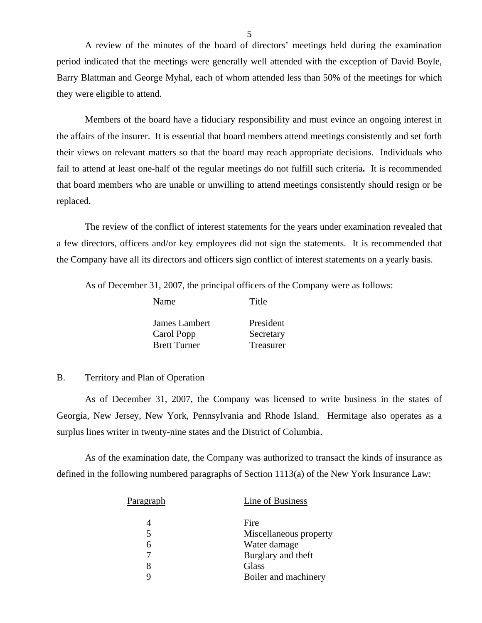A review of the minutes of the board of directors' meetings held during the examination period indicated that the meetings were generally well attended with the exception of David Boyle, Barry Blattman and George Myhal, each of whom attended less than 50% of the meetings for which they were eligible to attend.

Members of the board have a fiduciary responsibility and must evince an ongoing interest in the affairs of the insurer. It is essential that board members attend meetings consistently and set forth their views on relevant matters so that the board may reach appropriate decisions. Individuals who fail to attend at least one-half of the regular meetings do not fulfill such criteria**.** It is recommended that board members who are unable or unwilling to attend meetings consistently should resign or be replaced.

The review of the conflict of interest statements for the years under examination revealed that a few directors, officers and/or key employees did not sign the statements. It is recommended that the Company have all its directors and officers sign conflict of interest statements on a yearly basis.

As of December 31, 2007, the principal officers of the Company were as follows:

| President |
|-----------|
| Secretary |
| Treasurer |
|           |

Name Title

#### B. Territory and Plan of Operation

As of December 31, 2007, the Company was licensed to write business in the states of Georgia, New Jersey, New York, Pennsylvania and Rhode Island. Hermitage also operates as a surplus lines writer in twenty-nine states and the District of Columbia.

As of the examination date, the Company was authorized to transact the kinds of insurance as defined in the following numbered paragraphs of Section 1113(a) of the New York Insurance Law:

| Paragraph | Line of Business       |
|-----------|------------------------|
|           | Fire                   |
| 5         | Miscellaneous property |
| 6         | Water damage           |
|           | Burglary and theft     |
|           | Glass                  |
|           | Boiler and machinery   |
|           |                        |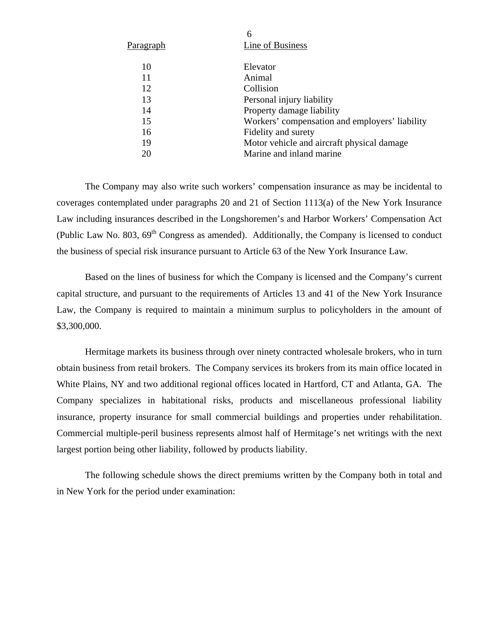|           | 6                                              |
|-----------|------------------------------------------------|
| Paragraph | Line of Business                               |
| 10        | Elevator                                       |
| 11        | Animal                                         |
| 12        | Collision                                      |
| 13        | Personal injury liability                      |
| 14        | Property damage liability                      |
| 15        | Workers' compensation and employers' liability |
| 16        | Fidelity and surety                            |
| 19        | Motor vehicle and aircraft physical damage     |
| 20        | Marine and inland marine                       |

The Company may also write such workers' compensation insurance as may be incidental to coverages contemplated under paragraphs 20 and 21 of Section 1113(a) of the New York Insurance Law including insurances described in the Longshoremen's and Harbor Workers' Compensation Act (Public Law No. 803,  $69<sup>th</sup>$  Congress as amended). Additionally, the Company is licensed to conduct the business of special risk insurance pursuant to Article 63 of the New York Insurance Law.

Based on the lines of business for which the Company is licensed and the Company's current capital structure, and pursuant to the requirements of Articles 13 and 41 of the New York Insurance Law, the Company is required to maintain a minimum surplus to policyholders in the amount of \$3,300,000.

Hermitage markets its business through over ninety contracted wholesale brokers, who in turn obtain business from retail brokers. The Company services its brokers from its main office located in White Plains, NY and two additional regional offices located in Hartford, CT and Atlanta, GA. The Company specializes in habitational risks, products and miscellaneous professional liability insurance, property insurance for small commercial buildings and properties under rehabilitation. Commercial multiple-peril business represents almost half of Hermitage's net writings with the next largest portion being other liability, followed by products liability.

The following schedule shows the direct premiums written by the Company both in total and in New York for the period under examination: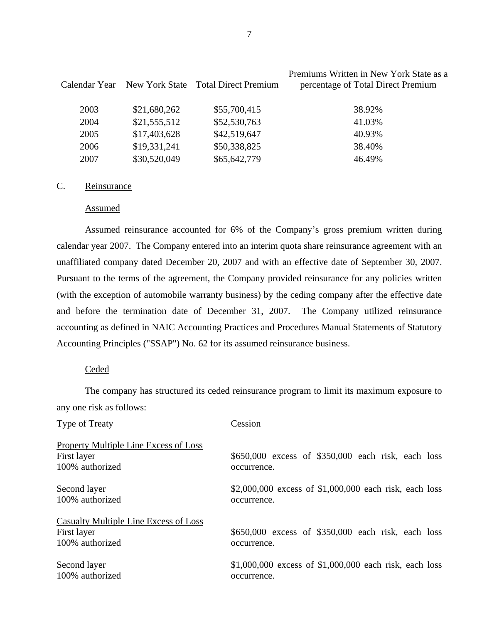| Calendar Year | New York State | <b>Total Direct Premium</b> | Premiums Written in New York State as a<br>percentage of Total Direct Premium |
|---------------|----------------|-----------------------------|-------------------------------------------------------------------------------|
| 2003          | \$21,680,262   | \$55,700,415                | 38.92%                                                                        |
| 2004          | \$21,555,512   | \$52,530,763                | 41.03%                                                                        |
| 2005          | \$17,403,628   | \$42,519,647                | 40.93%                                                                        |
| 2006          | \$19,331,241   | \$50,338,825                | 38.40%                                                                        |
| 2007          | \$30,520,049   | \$65,642,779                | 46.49%                                                                        |

#### C. Reinsurance

#### Assumed

Assumed reinsurance accounted for 6% of the Company's gross premium written during calendar year 2007. The Company entered into an interim quota share reinsurance agreement with an unaffiliated company dated December 20, 2007 and with an effective date of September 30, 2007. Pursuant to the terms of the agreement, the Company provided reinsurance for any policies written (with the exception of automobile warranty business) by the ceding company after the effective date and before the termination date of December 31, 2007. The Company utilized reinsurance accounting as defined in NAIC Accounting Practices and Procedures Manual Statements of Statutory Accounting Principles ("SSAP") No. 62 for its assumed reinsurance business.

#### Ceded

The company has structured its ceded reinsurance program to limit its maximum exposure to any one risk as follows:

| <b>Type of Treaty</b>                                                   | Cession                                                           |
|-------------------------------------------------------------------------|-------------------------------------------------------------------|
| <b>Property Multiple Line Excess of Loss</b>                            |                                                                   |
| First layer                                                             | \$650,000 excess of \$350,000 each risk, each loss                |
| 100% authorized                                                         | occurrence.                                                       |
| Second layer                                                            | \$2,000,000 excess of $$1,000,000$ each risk, each loss           |
| 100% authorized                                                         | occurrence.                                                       |
| Casualty Multiple Line Excess of Loss<br>First layer<br>100% authorized | \$650,000 excess of \$350,000 each risk, each loss<br>occurrence. |
| Second layer                                                            | \$1,000,000 excess of $$1,000,000$ each risk, each loss           |
| 100% authorized                                                         | occurrence.                                                       |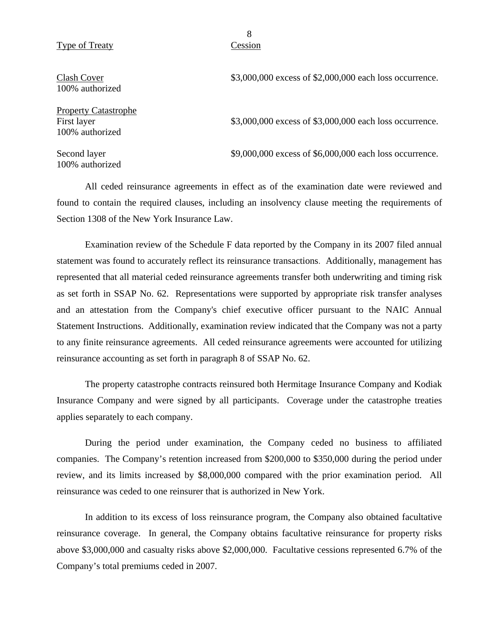#### Type of Treaty Cession

Clash Cover 100% authorized

Property Catastrophe First layer 100% authorized

Second layer 100% authorized \$3,000,000 excess of \$2,000,000 each loss occurrence.

\$3,000,000 excess of \$3,000,000 each loss occurrence.

\$9,000,000 excess of \$6,000,000 each loss occurrence.

All ceded reinsurance agreements in effect as of the examination date were reviewed and found to contain the required clauses, including an insolvency clause meeting the requirements of Section 1308 of the New York Insurance Law.

Examination review of the Schedule F data reported by the Company in its 2007 filed annual statement was found to accurately reflect its reinsurance transactions. Additionally, management has represented that all material ceded reinsurance agreements transfer both underwriting and timing risk as set forth in SSAP No. 62. Representations were supported by appropriate risk transfer analyses and an attestation from the Company's chief executive officer pursuant to the NAIC Annual Statement Instructions. Additionally, examination review indicated that the Company was not a party to any finite reinsurance agreements. All ceded reinsurance agreements were accounted for utilizing reinsurance accounting as set forth in paragraph 8 of SSAP No. 62.

The property catastrophe contracts reinsured both Hermitage Insurance Company and Kodiak Insurance Company and were signed by all participants. Coverage under the catastrophe treaties applies separately to each company.

During the period under examination, the Company ceded no business to affiliated companies. The Company's retention increased from \$200,000 to \$350,000 during the period under review, and its limits increased by \$8,000,000 compared with the prior examination period. All reinsurance was ceded to one reinsurer that is authorized in New York.

In addition to its excess of loss reinsurance program, the Company also obtained facultative reinsurance coverage. In general, the Company obtains facultative reinsurance for property risks above \$3,000,000 and casualty risks above \$2,000,000. Facultative cessions represented 6.7% of the Company's total premiums ceded in 2007.

8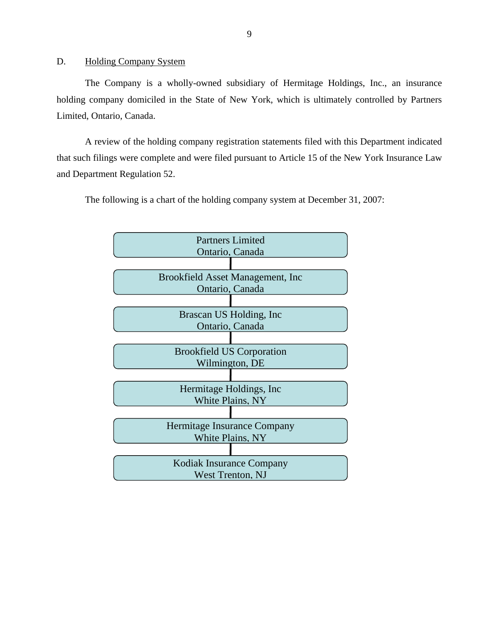<span id="page-10-0"></span>D. Holding Company System

The Company is a wholly-owned subsidiary of Hermitage Holdings, Inc., an insurance holding company domiciled in the State of New York, which is ultimately controlled by Partners Limited, Ontario, Canada.

A review of the holding company registration statements filed with this Department indicated that such filings were complete and were filed pursuant to Article 15 of the New York Insurance Law and Department Regulation 52.

The following is a chart of the holding company system at December 31, 2007:

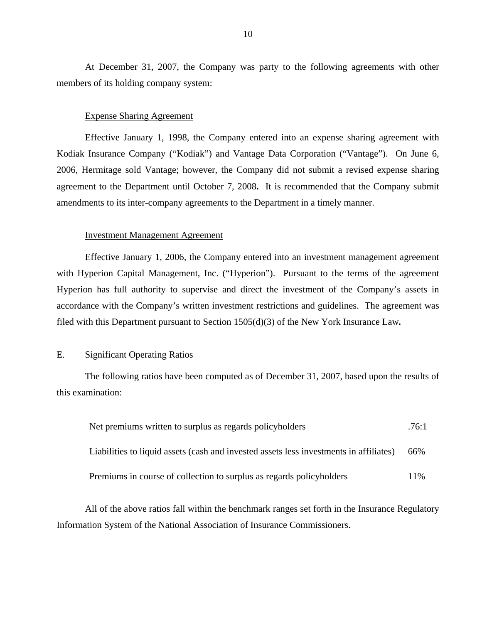<span id="page-11-0"></span>At December 31, 2007, the Company was party to the following agreements with other members of its holding company system:

#### Expense Sharing Agreement

Effective January 1, 1998, the Company entered into an expense sharing agreement with Kodiak Insurance Company ("Kodiak") and Vantage Data Corporation ("Vantage"). On June 6, 2006, Hermitage sold Vantage; however, the Company did not submit a revised expense sharing agreement to the Department until October 7, 2008**.** It is recommended that the Company submit amendments to its inter-company agreements to the Department in a timely manner.

#### Investment Management Agreement

Effective January 1, 2006, the Company entered into an investment management agreement with Hyperion Capital Management, Inc. ("Hyperion"). Pursuant to the terms of the agreement Hyperion has full authority to supervise and direct the investment of the Company's assets in accordance with the Company's written investment restrictions and guidelines. The agreement was filed with this Department pursuant to Section 1505(d)(3) of the New York Insurance Law*.*

#### E. Significant Operating Ratios

The following ratios have been computed as of December 31, 2007, based upon the results of this examination:

| Net premiums written to surplus as regards policyholders                               |     |
|----------------------------------------------------------------------------------------|-----|
| Liabilities to liquid assets (cash and invested assets less investments in affiliates) | 66% |
| Premiums in course of collection to surplus as regards policyholders                   | 11% |

All of the above ratios fall within the benchmark ranges set forth in the Insurance Regulatory Information System of the National Association of Insurance Commissioners.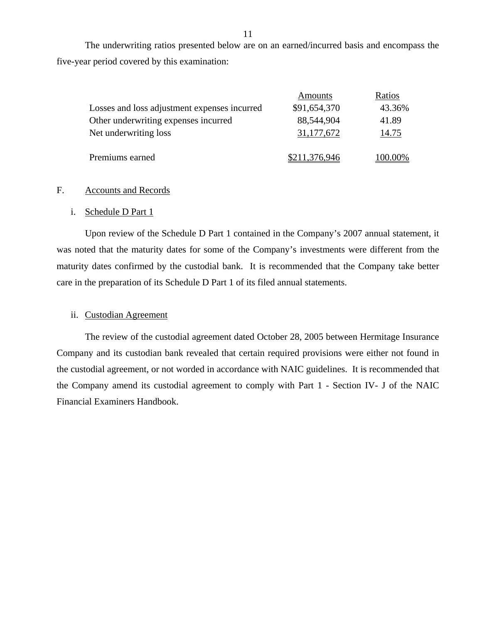The underwriting ratios presented below are on an earned/incurred basis and encompass the five-year period covered by this examination:

|                                              | Amounts              | Ratios     |
|----------------------------------------------|----------------------|------------|
| Losses and loss adjustment expenses incurred | \$91,654,370         | 43.36%     |
| Other underwriting expenses incurred         | 88,544,904           | 41.89      |
| Net underwriting loss                        | 31,177,672           | 14.75      |
|                                              |                      |            |
| Premiums earned                              | <u>\$211,376,946</u> | $(00.00\%$ |

#### F. Accounts and Records

#### i. Schedule D Part 1

Upon review of the Schedule D Part 1 contained in the Company's 2007 annual statement, it was noted that the maturity dates for some of the Company's investments were different from the maturity dates confirmed by the custodial bank. It is recommended that the Company take better care in the preparation of its Schedule D Part 1 of its filed annual statements.

#### ii. Custodian Agreement

The review of the custodial agreement dated October 28, 2005 between Hermitage Insurance Company and its custodian bank revealed that certain required provisions were either not found in the custodial agreement, or not worded in accordance with NAIC guidelines. It is recommended that the Company amend its custodial agreement to comply with Part 1 - Section IV- J of the NAIC Financial Examiners Handbook.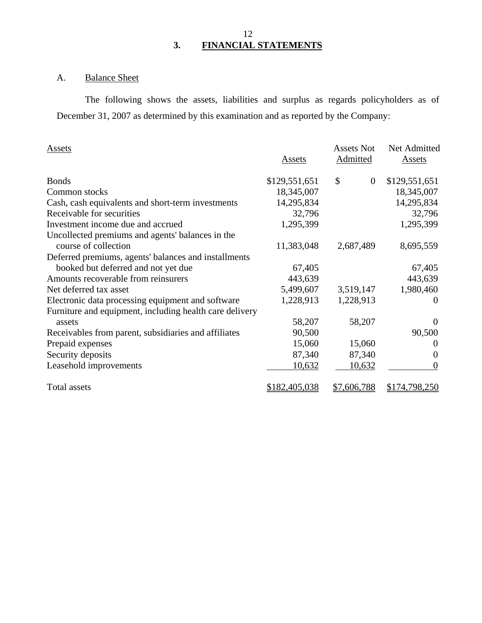## 12 **3. FINANCIAL STATEMENTS**

## A. Balance Sheet

The following shows the assets, liabilities and surplus as regards policyholders as of December 31, 2007 as determined by this examination and as reported by the Company:

| Assets                                                  | Assets        | <b>Assets Not</b><br>Admitted | Net Admitted<br>Assets |
|---------------------------------------------------------|---------------|-------------------------------|------------------------|
| <b>Bonds</b>                                            | \$129,551,651 | \$<br>$\overline{0}$          | \$129,551,651          |
| Common stocks                                           | 18,345,007    |                               | 18,345,007             |
| Cash, cash equivalents and short-term investments       | 14,295,834    |                               | 14,295,834             |
| Receivable for securities                               | 32,796        |                               | 32,796                 |
| Investment income due and accrued                       | 1,295,399     |                               | 1,295,399              |
| Uncollected premiums and agents' balances in the        |               |                               |                        |
| course of collection                                    | 11,383,048    | 2,687,489                     | 8,695,559              |
| Deferred premiums, agents' balances and installments    |               |                               |                        |
| booked but deferred and not yet due                     | 67,405        |                               | 67,405                 |
| Amounts recoverable from reinsurers                     | 443,639       |                               | 443,639                |
| Net deferred tax asset                                  | 5,499,607     | 3,519,147                     | 1,980,460              |
| Electronic data processing equipment and software       | 1,228,913     | 1,228,913                     | $\Omega$               |
| Furniture and equipment, including health care delivery |               |                               |                        |
| assets                                                  | 58,207        | 58,207                        | $\Omega$               |
| Receivables from parent, subsidiaries and affiliates    | 90,500        |                               | 90,500                 |
| Prepaid expenses                                        | 15,060        | 15,060                        | $\Omega$               |
| Security deposits                                       | 87,340        | 87,340                        | $\Omega$               |
| Leasehold improvements                                  | 10,632        | 10,632                        | $\theta$               |
| Total assets                                            | \$182,405,038 | \$7,606,788                   | \$174,798,250          |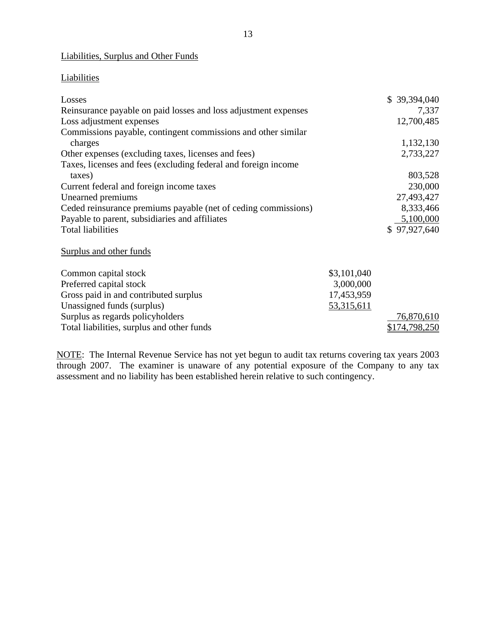### Liabilities, Surplus and Other Funds

#### **Liabilities**

| Losses                                                          |             | \$39,394,040  |
|-----------------------------------------------------------------|-------------|---------------|
| Reinsurance payable on paid losses and loss adjustment expenses |             | 7,337         |
| Loss adjustment expenses                                        |             | 12,700,485    |
| Commissions payable, contingent commissions and other similar   |             |               |
| charges                                                         |             | 1,132,130     |
| Other expenses (excluding taxes, licenses and fees)             |             | 2,733,227     |
| Taxes, licenses and fees (excluding federal and foreign income  |             |               |
| taxes)                                                          |             | 803,528       |
| Current federal and foreign income taxes                        |             | 230,000       |
| Unearned premiums                                               |             | 27,493,427    |
| Ceded reinsurance premiums payable (net of ceding commissions)  |             | 8,333,466     |
| Payable to parent, subsidiaries and affiliates                  |             | 5,100,000     |
| <b>Total liabilities</b>                                        |             | \$97,927,640  |
| <b>Surplus and other funds</b>                                  |             |               |
| Common capital stock                                            | \$3,101,040 |               |
| Preferred capital stock                                         | 3,000,000   |               |
| Gross paid in and contributed surplus                           | 17,453,959  |               |
| Unassigned funds (surplus)                                      | 53,315,611  |               |
| Surplus as regards policyholders                                |             | 76,870,610    |
| Total liabilities, surplus and other funds                      |             | \$174,798,250 |

NOTE: The Internal Revenue Service has not yet begun to audit tax returns covering tax years 2003 through 2007. The examiner is unaware of any potential exposure of the Company to any tax assessment and no liability has been established herein relative to such contingency.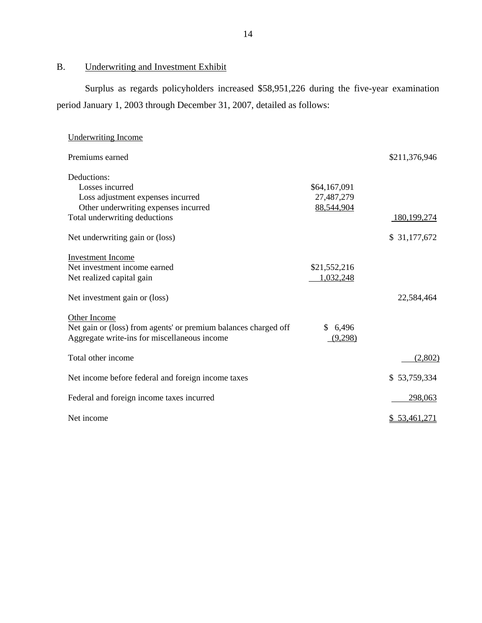B. Underwriting and Investment Exhibit

Surplus as regards policyholders increased \$58,951,226 during the five-year examination period January 1, 2003 through December 31, 2007, detailed as follows:

| <b>Underwriting Income</b>                                                                                                                                                      |                                          |                             |
|---------------------------------------------------------------------------------------------------------------------------------------------------------------------------------|------------------------------------------|-----------------------------|
| Premiums earned                                                                                                                                                                 |                                          | \$211,376,946               |
| Deductions:<br>Losses incurred<br>Loss adjustment expenses incurred<br>Other underwriting expenses incurred<br>Total underwriting deductions<br>Net underwriting gain or (loss) | \$64,167,091<br>27,487,279<br>88,544,904 | 180,199,274<br>\$31,177,672 |
| <b>Investment Income</b><br>Net investment income earned<br>Net realized capital gain<br>Net investment gain or (loss)                                                          | \$21,552,216<br>1,032,248                | 22,584,464                  |
| Other Income<br>Net gain or (loss) from agents' or premium balances charged off<br>Aggregate write-ins for miscellaneous income                                                 | \$6,496<br>(9,298)                       |                             |
| Total other income                                                                                                                                                              |                                          | (2,802)                     |
| Net income before federal and foreign income taxes                                                                                                                              |                                          | \$53,759,334                |
| Federal and foreign income taxes incurred                                                                                                                                       |                                          | 298,063                     |
| Net income                                                                                                                                                                      |                                          | <u>\$53,461,271</u>         |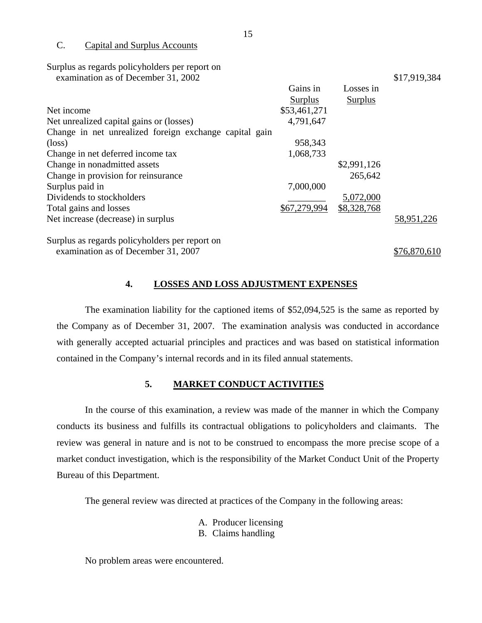#### C. Capital and Surplus Accounts

Surplus as regards policyholders per report on

examination as of December 31, 2002 \$17,919,384

|                                                        | Gains in     | Losses in      |            |
|--------------------------------------------------------|--------------|----------------|------------|
|                                                        | Surplus      | <b>Surplus</b> |            |
| Net income                                             | \$53,461,271 |                |            |
| Net unrealized capital gains or (losses)               | 4,791,647    |                |            |
| Change in net unrealized foreign exchange capital gain |              |                |            |
| $(\text{loss})$                                        | 958,343      |                |            |
| Change in net deferred income tax                      | 1,068,733    |                |            |
| Change in nonadmitted assets                           |              | \$2,991,126    |            |
| Change in provision for reinsurance                    |              | 265,642        |            |
| Surplus paid in                                        | 7,000,000    |                |            |
| Dividends to stockholders                              |              | 5,072,000      |            |
| Total gains and losses                                 | \$67,279,994 | \$8,328,768    |            |
| Net increase (decrease) in surplus                     |              |                | 58,951,226 |
|                                                        |              |                |            |

Surplus as regards policyholders per report on examination as of December 31, 2007 \$76,870,610

#### **4. LOSSES AND LOSS ADJUSTMENT EXPENSES**

The examination liability for the captioned items of \$52,094,525 is the same as reported by the Company as of December 31, 2007. The examination analysis was conducted in accordance with generally accepted actuarial principles and practices and was based on statistical information contained in the Company's internal records and in its filed annual statements.

#### **5. MARKET CONDUCT ACTIVITIES**

In the course of this examination, a review was made of the manner in which the Company conducts its business and fulfills its contractual obligations to policyholders and claimants. The review was general in nature and is not to be construed to encompass the more precise scope of a market conduct investigation, which is the responsibility of the Market Conduct Unit of the Property Bureau of this Department.

The general review was directed at practices of the Company in the following areas:

- A. Producer licensing
- B. Claims handling

No problem areas were encountered.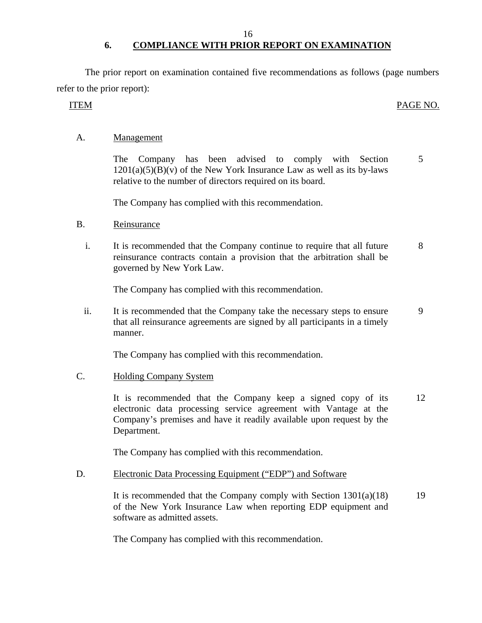#### 16

## **6. COMPLIANCE WITH PRIOR REPORT ON EXAMINATION**

<span id="page-17-0"></span>The prior report on examination contained five recommendations as follows (page numbers refer to the prior report):

#### ITEM PAGE NO.

#### A. Management

The Company has been advised to comply with Section 5  $1201(a)(5)(B)(v)$  of the New York Insurance Law as well as its by-laws relative to the number of directors required on its board.

The Company has complied with this recommendation.

#### B. Reinsurance

i. It is recommended that the Company continue to require that all future 8 reinsurance contracts contain a provision that the arbitration shall be governed by New York Law.

The Company has complied with this recommendation.

ii. It is recommended that the Company take the necessary steps to ensure 9 that all reinsurance agreements are signed by all participants in a timely manner.

The Company has complied with this recommendation.

#### C. Holding Company System

It is recommended that the Company keep a signed copy of its 12 electronic data processing service agreement with Vantage at the Company's premises and have it readily available upon request by the Department.

The Company has complied with this recommendation.

#### D. Electronic Data Processing Equipment ("EDP") and Software

It is recommended that the Company comply with Section  $1301(a)(18)$  19 of the New York Insurance Law when reporting EDP equipment and software as admitted assets.

The Company has complied with this recommendation.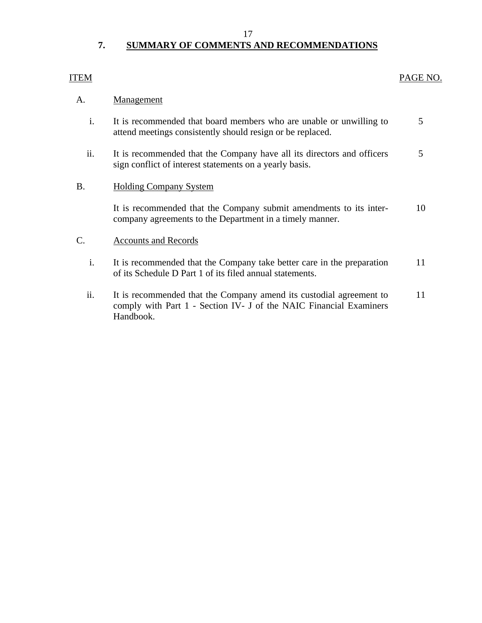#### 17

## **7. SUMMARY OF COMMENTS AND RECOMMENDATIONS**

### <span id="page-18-0"></span>ITEM PAGE NO.

#### A. Management

- i. It is recommended that board members who are unable or unwilling to 5 attend meetings consistently should resign or be replaced.
- ii. It is recommended that the Company have all its directors and officers 5 sign conflict of interest statements on a yearly basis.

#### B. Holding Company System

It is recommended that the Company submit amendments to its inter- 10 company agreements to the Department in a timely manner.

### C. Accounts and Records

- i. It is recommended that the Company take better care in the preparation 11 of its Schedule D Part 1 of its filed annual statements.
- ii. It is recommended that the Company amend its custodial agreement to 11 comply with Part 1 - Section IV- J of the NAIC Financial Examiners Handbook.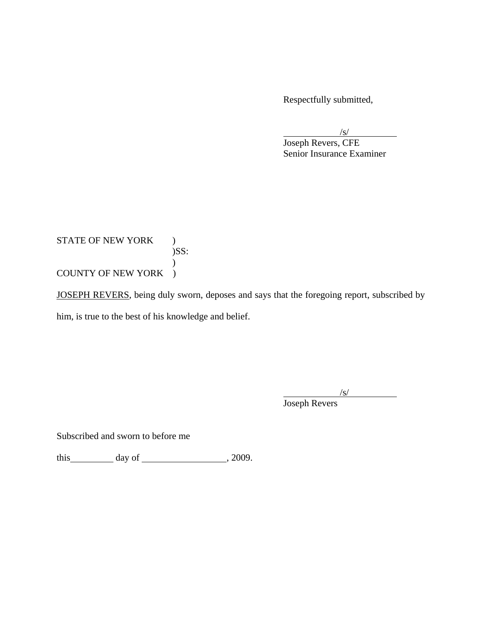Respectfully submitted,

 $\sqrt{s}$ /s/ Joseph Revers, CFE Senior Insurance Examiner

## STATE OF NEW YORK ) )SS: ) COUNTY OF NEW YORK )

JOSEPH REVERS, being duly sworn, deposes and says that the foregoing report, subscribed by him, is true to the best of his knowledge and belief.

 $\sqrt{s}$ /s/

Joseph Revers

Subscribed and sworn to before me

this  $\_\_\_\_\$  day of  $\_\_\_\_\_\_\$ , 2009.